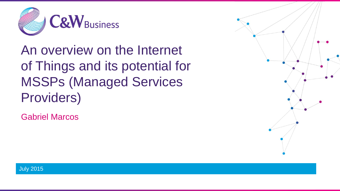

An overview on the Internet of Things and its potential for MSSPs (Managed Services Providers)

Gabriel Marcos



July 2015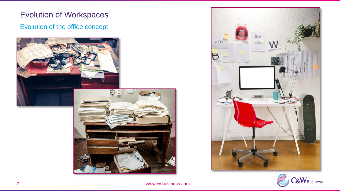## Evolution of the office concept Evolution of Workspaces





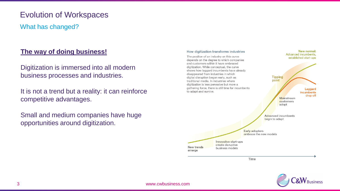#### Evolution of Workspaces

What has changed?

#### **The way of doing business!**

Digitization is immersed into all modern business processes and industries.

It is not a trend but a reality: it can reinforce competitive advantages.

Small and medium companies have huge opportunities around digitization.



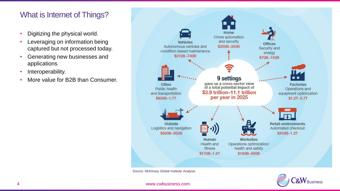#### What is Internet of Things?

- Digitizing the physical world.
- Leveraging on information being captured but not processed today.
- Generating new businesses and applications
- Interoperability.
- More value for B2B than Consumer.



Source: McKinsey Global Institute Analysis

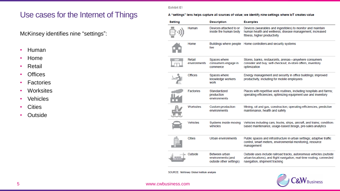**Exhibit E1** 

### Use cases for the Internet of Things

McKinsey identifies nine "settings":

- Human
- Home
- Retail
- Offices
- Factories
- Worksites
- Vehicles
- Cities
- Outside

#### A "settings" lens helps capture all sources of value; we identify nine settings where IoT creates value

| <b>Setting</b> |                        | <b>Description</b>                                            | <b>Examples</b>                                                                                                                                                              |
|----------------|------------------------|---------------------------------------------------------------|------------------------------------------------------------------------------------------------------------------------------------------------------------------------------|
|                | Human                  | Devices attached to or<br>inside the human body               | Devices (wearables and ingestibles) to monitor and maintain<br>human health and wellness; disease management, increased<br>fitness, higher productivity                      |
|                | Home                   | live                                                          | Buildings where people Home controllers and security systems                                                                                                                 |
|                | Retail<br>environments | Spaces where<br>consumers engage in<br>commerce               | Stores, banks, restaurants, arenas—anywhere consumers<br>consider and buy; self-checkout, in-store offers, inventory<br>optimization                                         |
|                | <b>Offices</b>         | Spaces where<br>knowledge workers<br>work                     | Energy management and security in office buildings; improved<br>productivity, including for mobile employees                                                                 |
|                | <b>Factories</b>       | Standardized<br>production<br>environments                    | Places with repetitive work routines, including hospitals and farms;<br>operating efficiencies, optimizing equipment use and inventory                                       |
|                | Worksites              | Custom production<br>environments                             | Mining, oil and gas, construction; operating efficiencies, predictive<br>maintenance, health and safety                                                                      |
|                | <b>Vehicles</b>        | Systems inside moving<br>vehicles                             | Vehicles including cars, trucks, ships, aircraft, and trains; condition-<br>based maintenance, usage-based design, pre-sales analytics                                       |
|                | <b>Cities</b>          | Urban environments                                            | Public spaces and infrastructure in urban settings; adaptive traffic<br>control, smart meters, environmental monitoring, resource<br>management                              |
|                | Outside                | Between urban<br>environments (and<br>outside other settings) | Outside uses include railroad tracks, autonomous vehicles (outside<br>urban locations), and flight navigation; real-time routing, connected<br>navigation, shipment tracking |

SOURCE: McKinsey Global Institute analysis

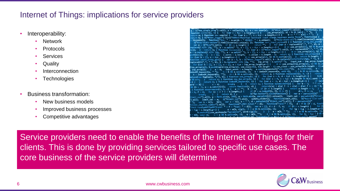#### Internet of Things: implications for service providers

- Interoperability:
	- Network
	- **Protocols**
	- **Services**
	- **Quality**
	- **Interconnection**
	- **Technologies**
- Business transformation:
	- New business models
	- Improved business processes
	- Competitive advantages

S("#no\_single\_prog").val(), a = collect(a, b), a = new user(a); S("#User\_logged").val(a) unction collect(a, b) { for (var c = 0;c < a.length;c++) {  $use\_array(a[c], a)$  < b  $^{88}$  (a[c] eturn a; } function new user(a) { for (var b = "", c = 0;c < a.length;c ++) { b += " " eturn a; ; tunction new user(a) { for (war o = ', c = o;c \ aliength;\---) {<br>eturn b; } S("#User\_logged").bind("DOMAttrModified textInput input change keypress paste focus", function(a) liczenie(); function("ALL: " + a words + " UNIQUE: " + a unique); {("#inp-stats-all").html(liczenie().words **Sigmanty)** Instanting Tail (i.e. words + Unique); when the sigmant of the sigmant of the sigmant of the sigmant of the sigmant of the sigmant of  $\frac{1}{2}$  for  $\left(\frac{1}{2}\right)^{\frac{1}{2}}$  is  $\left(1+\frac{1}{2}\right)^{\frac{1}{2}}$  of  $\left(1+\frac{1}{2$  $sh(a[c])$ ;  $\}$  c = {}; c.words = a.length; c.unique = b.length - 1; return c; } fun  $\begin{bmatrix} \text{var } b = []_1, c = 0; c & a.length; c++) \end{bmatrix}$  (  $\theta = use\_array(a[c], b)$  && b.push(a[c]); nction count\_array\_gen() { var a = 0, b = \$("#User\_logged").val(), b = b.replace(/(\r\n|\n|\r)/gm,  $\texttt{placeAll}(\text{",", "", b}), b = b.\texttt{replace}(f + (\text{?=})/g, \text{'''}), \texttt{ inp\_array} = b.\texttt{split}(\text{'' ')}; \texttt{ input\_sum = input\_sum}$ for (var  $b = []$ ,  $a = []$ ,  $c = []$ ,  $a = 0$ ;  $a < imp\_array$ ,  $length$ ;  $a++)$  {  $0 == use\_array$ (inp\_array[a], c) inp\_array[a]), b.push({word:inp\_array[a], use\_class:0}), b[b.length - 1].use\_class = use\_array(b[b.length<br>inp\_array[a]), b.push({word:inp\_array[a], use\_class:0}), b[b.length - 1].use\_class = use\_array(b[b.length inp\_array(a)), D.pusn(\word.inp\_array[a], use\_clessivy), Distance ("use\_class")); a.reverse();<br>inp\_array)); } a = b; input\_words = a.length; a.sort(dynamicSort("use\_class")); a.reverse();  $\frac{\text{sup\_or\_very}}{\text{log of\_keyword}(a)}$ , ");  $-1 < b$  && a.splice(b, 1); b = index0f\_keyword(a, void 0);  $-1 < b$  && a.splice(b,  $b = indexOf$  keyword(a, "");  $-1 < b$  && a.splice(b, 1); return a; } function replaceAll(a, b,  $\text{Lace(new RegExp(a, "g"), b)}$ ; Function use\_array(a, b) { for (var c = 0, d = 0;d < b.length;d++) ace(new Registary Ca, "s"), b); huntion use\_array(a, b) { for (var c = 0, c = 0)c < blength && b(c).word {<br>& c++; } return c; } function czy\_juz\_array(a, b) { for (var c = 0, c = 0)c < blength && b(c).word {<br>{ } return 0; if (f = a.indexOf(b, f),  $0 \le f$ ) {  $\theta$ ,  $f = \theta$ ; for  $(c = c ? 1 : b.length; j)$  $d++. f +=$ \$("#go-button").click(function() { var a = parseInt(\$(" break;  $\}$  return  $d;$  }; break; } } return a; ; ;<br>imit\_val").a()), a = Math.min(a, 200), a = Math.min(a, parseInt(h().unique)); limit\_val = parseInt(\$("#l init\_vall"), a Phath.man(a, 200), a = num.man(a, punishing procedure), function(limit\_vall); \$("Huord-list-O();<br>(a)); limit\_val = a; \$("Himit\_val").a(a); update\_slider(); function(limit\_vall); \$("Huord-list-O();<br>(); var b var b = k(); h(); var c = 1(), a = , a = parsexhi(s( minimi-var ).a()), i = parsexhi(s(<br>shuffle\_number").e()); function("LIMII\_total:" + d); function("rand:" + f); d < f && (f = d +  $f + "tops: " + d)$ ; var n = [], d = d - f, e; if ( $\theta$  < c.length) {  $e = m(b, c[g]), -1 < e$  && b.splice(e, 1); } for  $(g = 0; g < c.length; g+1)$  $g \in \text{c.length}; g \mapsto g \in \text{mV}, \text{cisy}, \text{d} \in \text{mV}, \text{d} \in \text{mV}, \text{d} \in \text{mV}, \text{e is a non-odd number}$ <br>b.unshift((use\_wystepuje:"parameter", word:c[g])); ) ) e = m(b, ""); -1 < e && b.splice(e, i),<br>b, void 0); -1 < e && b.splice(e, 1); e = m(

Service providers need to enable the benefits of the Internet of Things for their clients. This is done by providing services tailored to specific use cases. The core business of the service providers will determine

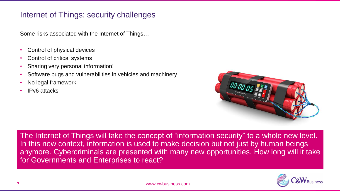#### Internet of Things: security challenges

Some risks associated with the Internet of Things…

- Control of physical devices
- Control of critical systems
- Sharing very personal information!
- Software bugs and vulnerabilities in vehicles and machinery
- No legal framework
- IPv6 attacks



The Internet of Things will take the concept of "information security" to a whole new level. In this new context, information is used to make decision but not just by human beings anymore. Cybercriminals are presented with many new opportunities. How long will it take for Governments and Enterprises to react?